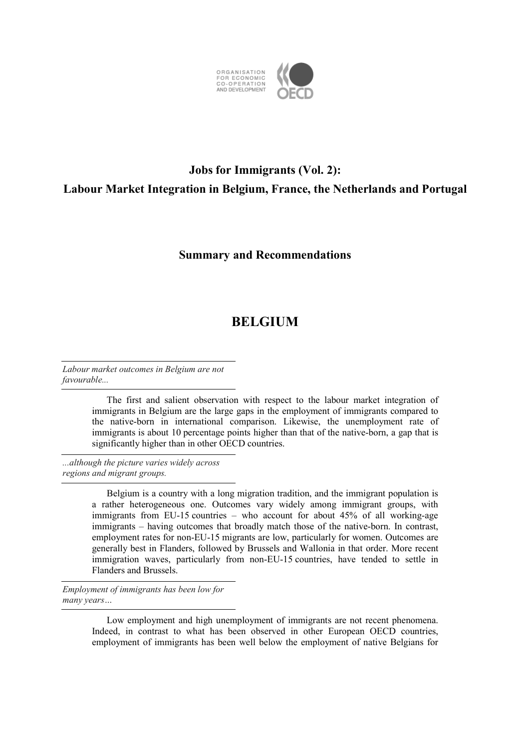

## **Jobs for Immigrants (Vol. 2): Labour Market Integration in Belgium, France, the Netherlands and Portugal**

## **Summary and Recommendations**

## **BELGIUM**

*Labour market outcomes in Belgium are not favourable...* 

> The first and salient observation with respect to the labour market integration of immigrants in Belgium are the large gaps in the employment of immigrants compared to the native-born in international comparison. Likewise, the unemployment rate of immigrants is about 10 percentage points higher than that of the native-born, a gap that is significantly higher than in other OECD countries.

*...although the picture varies widely across regions and migrant groups.* 

> Belgium is a country with a long migration tradition, and the immigrant population is a rather heterogeneous one. Outcomes vary widely among immigrant groups, with immigrants from EU-15 countries – who account for about 45% of all working-age immigrants – having outcomes that broadly match those of the native-born. In contrast, employment rates for non-EU-15 migrants are low, particularly for women. Outcomes are generally best in Flanders, followed by Brussels and Wallonia in that order. More recent immigration waves, particularly from non-EU-15 countries, have tended to settle in Flanders and Brussels.

*Employment of immigrants has been low for many years…* 

> Low employment and high unemployment of immigrants are not recent phenomena. Indeed, in contrast to what has been observed in other European OECD countries, employment of immigrants has been well below the employment of native Belgians for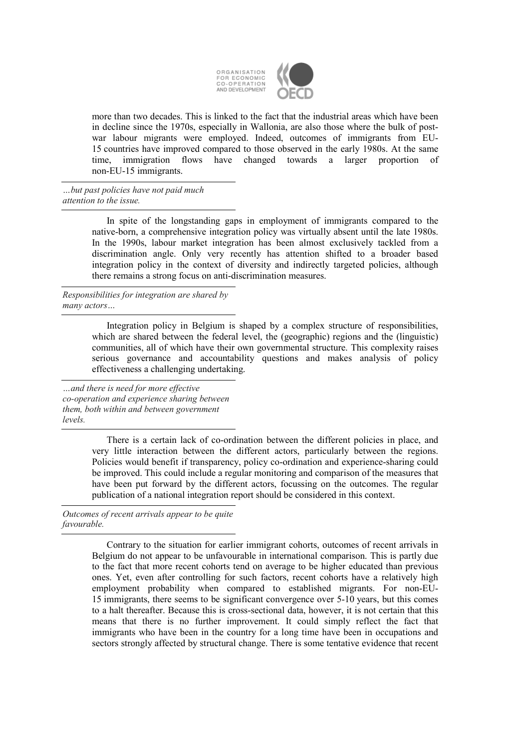

more than two decades. This is linked to the fact that the industrial areas which have been in decline since the 1970s, especially in Wallonia, are also those where the bulk of postwar labour migrants were employed. Indeed, outcomes of immigrants from EU-15 countries have improved compared to those observed in the early 1980s. At the same time, immigration flows have changed towards a larger proportion of non-EU-15 immigrants.

*…but past policies have not paid much attention to the issue.* 

> In spite of the longstanding gaps in employment of immigrants compared to the native-born, a comprehensive integration policy was virtually absent until the late 1980s. In the 1990s, labour market integration has been almost exclusively tackled from a discrimination angle. Only very recently has attention shifted to a broader based integration policy in the context of diversity and indirectly targeted policies, although there remains a strong focus on anti-discrimination measures.

*Responsibilities for integration are shared by many actors…* 

> Integration policy in Belgium is shaped by a complex structure of responsibilities, which are shared between the federal level, the (geographic) regions and the (linguistic) communities, all of which have their own governmental structure. This complexity raises serious governance and accountability questions and makes analysis of policy effectiveness a challenging undertaking.

*…and there is need for more effective co-operation and experience sharing between them, both within and between government levels.* 

> There is a certain lack of co-ordination between the different policies in place, and very little interaction between the different actors, particularly between the regions. Policies would benefit if transparency, policy co-ordination and experience-sharing could be improved. This could include a regular monitoring and comparison of the measures that have been put forward by the different actors, focussing on the outcomes. The regular publication of a national integration report should be considered in this context.

*Outcomes of recent arrivals appear to be quite favourable.* 

> Contrary to the situation for earlier immigrant cohorts, outcomes of recent arrivals in Belgium do not appear to be unfavourable in international comparison. This is partly due to the fact that more recent cohorts tend on average to be higher educated than previous ones. Yet, even after controlling for such factors, recent cohorts have a relatively high employment probability when compared to established migrants. For non-EU-15 immigrants, there seems to be significant convergence over 5-10 years, but this comes to a halt thereafter. Because this is cross-sectional data, however, it is not certain that this means that there is no further improvement. It could simply reflect the fact that immigrants who have been in the country for a long time have been in occupations and sectors strongly affected by structural change. There is some tentative evidence that recent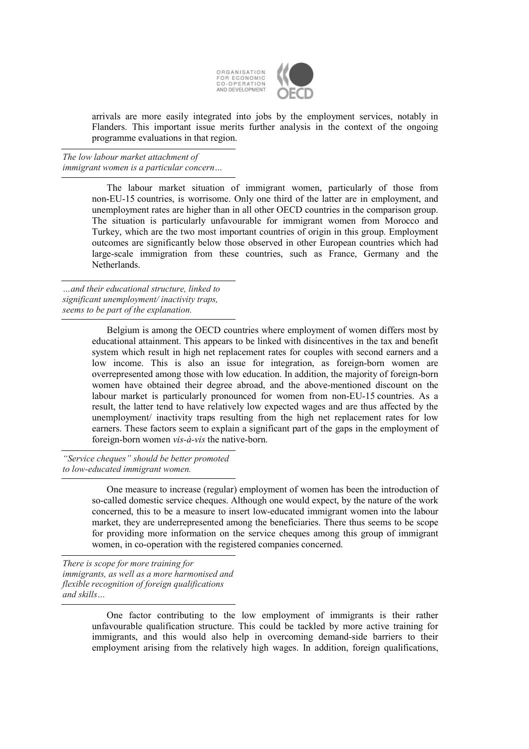

arrivals are more easily integrated into jobs by the employment services, notably in Flanders. This important issue merits further analysis in the context of the ongoing programme evaluations in that region.

*The low labour market attachment of immigrant women is a particular concern…* 

> The labour market situation of immigrant women, particularly of those from non-EU-15 countries, is worrisome. Only one third of the latter are in employment, and unemployment rates are higher than in all other OECD countries in the comparison group. The situation is particularly unfavourable for immigrant women from Morocco and Turkey, which are the two most important countries of origin in this group. Employment outcomes are significantly below those observed in other European countries which had large-scale immigration from these countries, such as France, Germany and the **Netherlands**

*…and their educational structure, linked to significant unemployment/ inactivity traps, seems to be part of the explanation.* 

> Belgium is among the OECD countries where employment of women differs most by educational attainment. This appears to be linked with disincentives in the tax and benefit system which result in high net replacement rates for couples with second earners and a low income. This is also an issue for integration, as foreign-born women are overrepresented among those with low education. In addition, the majority of foreign-born women have obtained their degree abroad, and the above-mentioned discount on the labour market is particularly pronounced for women from non-EU-15 countries. As a result, the latter tend to have relatively low expected wages and are thus affected by the unemployment/ inactivity traps resulting from the high net replacement rates for low earners. These factors seem to explain a significant part of the gaps in the employment of foreign-born women *vis-à-vis* the native-born.

*"Service cheques" should be better promoted to low-educated immigrant women.* 

> One measure to increase (regular) employment of women has been the introduction of so-called domestic service cheques. Although one would expect, by the nature of the work concerned, this to be a measure to insert low-educated immigrant women into the labour market, they are underrepresented among the beneficiaries. There thus seems to be scope for providing more information on the service cheques among this group of immigrant women, in co-operation with the registered companies concerned.

*There is scope for more training for immigrants, as well as a more harmonised and flexible recognition of foreign qualifications and skills…* 

> One factor contributing to the low employment of immigrants is their rather unfavourable qualification structure. This could be tackled by more active training for immigrants, and this would also help in overcoming demand-side barriers to their employment arising from the relatively high wages. In addition, foreign qualifications,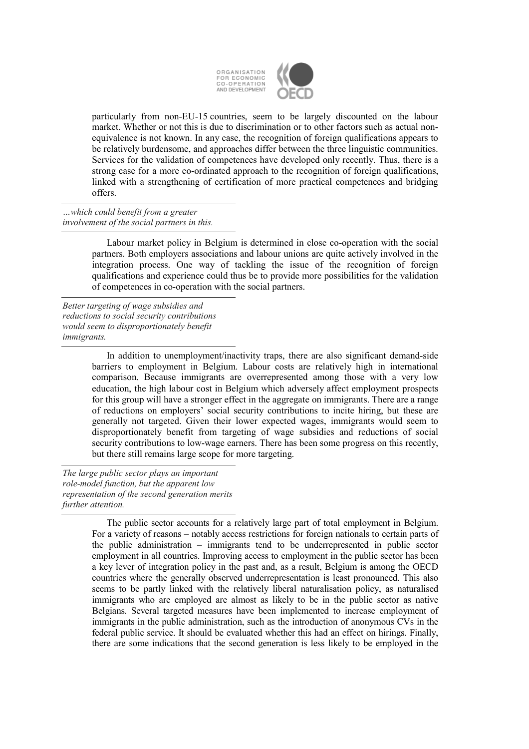

particularly from non-EU-15 countries, seem to be largely discounted on the labour market. Whether or not this is due to discrimination or to other factors such as actual nonequivalence is not known. In any case, the recognition of foreign qualifications appears to be relatively burdensome, and approaches differ between the three linguistic communities. Services for the validation of competences have developed only recently. Thus, there is a strong case for a more co-ordinated approach to the recognition of foreign qualifications, linked with a strengthening of certification of more practical competences and bridging offers.

*…which could benefit from a greater involvement of the social partners in this.* 

> Labour market policy in Belgium is determined in close co-operation with the social partners. Both employers associations and labour unions are quite actively involved in the integration process. One way of tackling the issue of the recognition of foreign qualifications and experience could thus be to provide more possibilities for the validation of competences in co-operation with the social partners.

*Better targeting of wage subsidies and reductions to social security contributions would seem to disproportionately benefit immigrants.* 

> In addition to unemployment/inactivity traps, there are also significant demand-side barriers to employment in Belgium. Labour costs are relatively high in international comparison. Because immigrants are overrepresented among those with a very low education, the high labour cost in Belgium which adversely affect employment prospects for this group will have a stronger effect in the aggregate on immigrants. There are a range of reductions on employers' social security contributions to incite hiring, but these are generally not targeted. Given their lower expected wages, immigrants would seem to disproportionately benefit from targeting of wage subsidies and reductions of social security contributions to low-wage earners. There has been some progress on this recently, but there still remains large scope for more targeting.

*The large public sector plays an important role-model function, but the apparent low representation of the second generation merits further attention.* 

> The public sector accounts for a relatively large part of total employment in Belgium. For a variety of reasons – notably access restrictions for foreign nationals to certain parts of the public administration – immigrants tend to be underrepresented in public sector employment in all countries. Improving access to employment in the public sector has been a key lever of integration policy in the past and, as a result, Belgium is among the OECD countries where the generally observed underrepresentation is least pronounced. This also seems to be partly linked with the relatively liberal naturalisation policy, as naturalised immigrants who are employed are almost as likely to be in the public sector as native Belgians. Several targeted measures have been implemented to increase employment of immigrants in the public administration, such as the introduction of anonymous CVs in the federal public service. It should be evaluated whether this had an effect on hirings. Finally, there are some indications that the second generation is less likely to be employed in the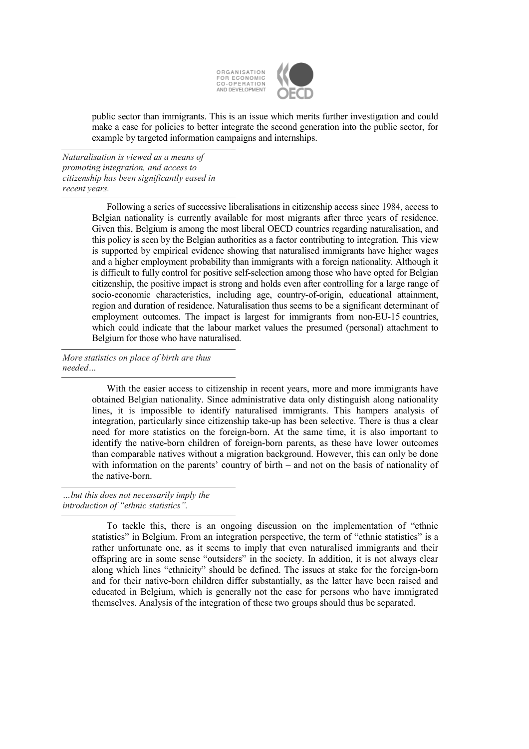

public sector than immigrants. This is an issue which merits further investigation and could make a case for policies to better integrate the second generation into the public sector, for example by targeted information campaigns and internships.

*Naturalisation is viewed as a means of promoting integration, and access to citizenship has been significantly eased in recent years.* 

> Following a series of successive liberalisations in citizenship access since 1984, access to Belgian nationality is currently available for most migrants after three years of residence. Given this, Belgium is among the most liberal OECD countries regarding naturalisation, and this policy is seen by the Belgian authorities as a factor contributing to integration. This view is supported by empirical evidence showing that naturalised immigrants have higher wages and a higher employment probability than immigrants with a foreign nationality. Although it is difficult to fully control for positive self-selection among those who have opted for Belgian citizenship, the positive impact is strong and holds even after controlling for a large range of socio-economic characteristics, including age, country-of-origin, educational attainment, region and duration of residence. Naturalisation thus seems to be a significant determinant of employment outcomes. The impact is largest for immigrants from non-EU-15 countries, which could indicate that the labour market values the presumed (personal) attachment to Belgium for those who have naturalised.

*More statistics on place of birth are thus needed…* 

> With the easier access to citizenship in recent years, more and more immigrants have obtained Belgian nationality. Since administrative data only distinguish along nationality lines, it is impossible to identify naturalised immigrants. This hampers analysis of integration, particularly since citizenship take-up has been selective. There is thus a clear need for more statistics on the foreign-born. At the same time, it is also important to identify the native-born children of foreign-born parents, as these have lower outcomes than comparable natives without a migration background. However, this can only be done with information on the parents' country of birth – and not on the basis of nationality of the native-born.

*…but this does not necessarily imply the introduction of "ethnic statistics".* 

> To tackle this, there is an ongoing discussion on the implementation of "ethnic statistics" in Belgium. From an integration perspective, the term of "ethnic statistics" is a rather unfortunate one, as it seems to imply that even naturalised immigrants and their offspring are in some sense "outsiders" in the society. In addition, it is not always clear along which lines "ethnicity" should be defined. The issues at stake for the foreign-born and for their native-born children differ substantially, as the latter have been raised and educated in Belgium, which is generally not the case for persons who have immigrated themselves. Analysis of the integration of these two groups should thus be separated.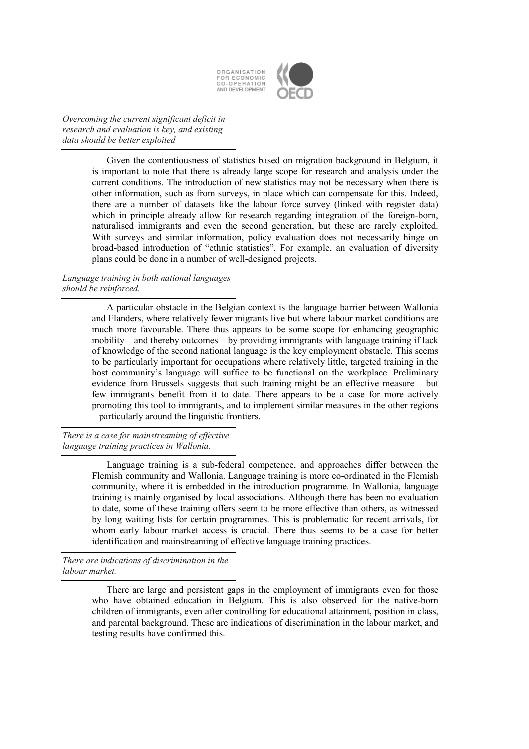

*Overcoming the current significant deficit in research and evaluation is key, and existing data should be better exploited* 

> Given the contentiousness of statistics based on migration background in Belgium, it is important to note that there is already large scope for research and analysis under the current conditions. The introduction of new statistics may not be necessary when there is other information, such as from surveys, in place which can compensate for this. Indeed, there are a number of datasets like the labour force survey (linked with register data) which in principle already allow for research regarding integration of the foreign-born, naturalised immigrants and even the second generation, but these are rarely exploited. With surveys and similar information, policy evaluation does not necessarily hinge on broad-based introduction of "ethnic statistics". For example, an evaluation of diversity plans could be done in a number of well-designed projects.

*Language training in both national languages should be reinforced.* 

> A particular obstacle in the Belgian context is the language barrier between Wallonia and Flanders, where relatively fewer migrants live but where labour market conditions are much more favourable. There thus appears to be some scope for enhancing geographic mobility – and thereby outcomes – by providing immigrants with language training if lack of knowledge of the second national language is the key employment obstacle. This seems to be particularly important for occupations where relatively little, targeted training in the host community's language will suffice to be functional on the workplace. Preliminary evidence from Brussels suggests that such training might be an effective measure – but few immigrants benefit from it to date. There appears to be a case for more actively promoting this tool to immigrants, and to implement similar measures in the other regions – particularly around the linguistic frontiers.

*There is a case for mainstreaming of effective language training practices in Wallonia.* 

> Language training is a sub-federal competence, and approaches differ between the Flemish community and Wallonia. Language training is more co-ordinated in the Flemish community, where it is embedded in the introduction programme. In Wallonia, language training is mainly organised by local associations. Although there has been no evaluation to date, some of these training offers seem to be more effective than others, as witnessed by long waiting lists for certain programmes. This is problematic for recent arrivals, for whom early labour market access is crucial. There thus seems to be a case for better identification and mainstreaming of effective language training practices.

*There are indications of discrimination in the labour market.* 

> There are large and persistent gaps in the employment of immigrants even for those who have obtained education in Belgium. This is also observed for the native-born children of immigrants, even after controlling for educational attainment, position in class, and parental background. These are indications of discrimination in the labour market, and testing results have confirmed this.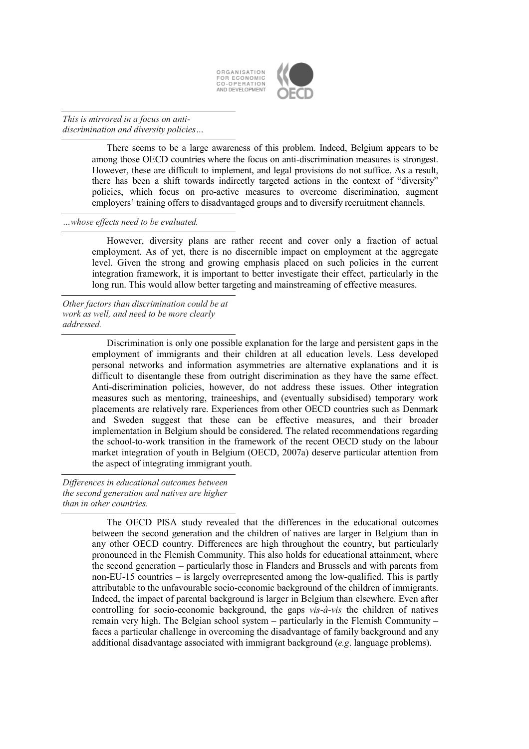

*This is mirrored in a focus on antidiscrimination and diversity policies…* 

> There seems to be a large awareness of this problem. Indeed, Belgium appears to be among those OECD countries where the focus on anti-discrimination measures is strongest. However, these are difficult to implement, and legal provisions do not suffice. As a result, there has been a shift towards indirectly targeted actions in the context of "diversity" policies, which focus on pro-active measures to overcome discrimination, augment employers' training offers to disadvantaged groups and to diversify recruitment channels.

*…whose effects need to be evaluated.* 

However, diversity plans are rather recent and cover only a fraction of actual employment. As of yet, there is no discernible impact on employment at the aggregate level. Given the strong and growing emphasis placed on such policies in the current integration framework, it is important to better investigate their effect, particularly in the long run. This would allow better targeting and mainstreaming of effective measures.

*Other factors than discrimination could be at work as well, and need to be more clearly addressed.* 

> Discrimination is only one possible explanation for the large and persistent gaps in the employment of immigrants and their children at all education levels. Less developed personal networks and information asymmetries are alternative explanations and it is difficult to disentangle these from outright discrimination as they have the same effect. Anti-discrimination policies, however, do not address these issues. Other integration measures such as mentoring, traineeships, and (eventually subsidised) temporary work placements are relatively rare. Experiences from other OECD countries such as Denmark and Sweden suggest that these can be effective measures, and their broader implementation in Belgium should be considered. The related recommendations regarding the school-to-work transition in the framework of the recent OECD study on the labour market integration of youth in Belgium (OECD, 2007a) deserve particular attention from the aspect of integrating immigrant youth.

*Differences in educational outcomes between the second generation and natives are higher than in other countries.* 

> The OECD PISA study revealed that the differences in the educational outcomes between the second generation and the children of natives are larger in Belgium than in any other OECD country. Differences are high throughout the country, but particularly pronounced in the Flemish Community. This also holds for educational attainment, where the second generation – particularly those in Flanders and Brussels and with parents from non-EU-15 countries – is largely overrepresented among the low-qualified. This is partly attributable to the unfavourable socio-economic background of the children of immigrants. Indeed, the impact of parental background is larger in Belgium than elsewhere. Even after controlling for socio-economic background, the gaps *vis-à-vis* the children of natives remain very high. The Belgian school system – particularly in the Flemish Community – faces a particular challenge in overcoming the disadvantage of family background and any additional disadvantage associated with immigrant background (*e.g*. language problems).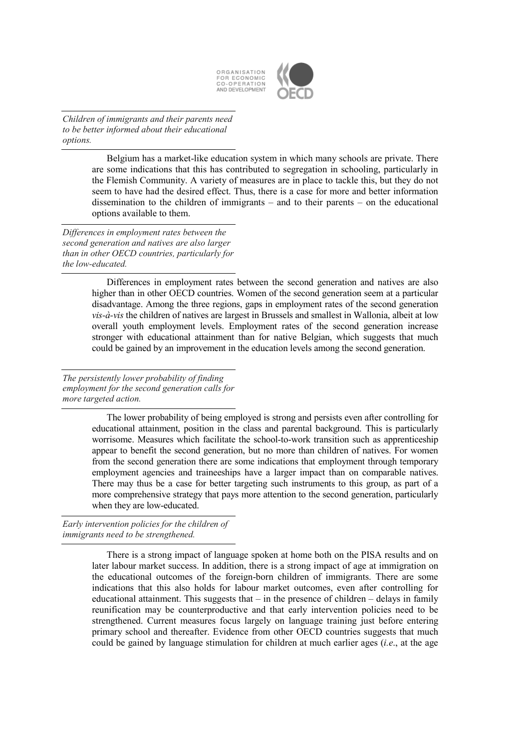

*Children of immigrants and their parents need to be better informed about their educational options.* 

> Belgium has a market-like education system in which many schools are private. There are some indications that this has contributed to segregation in schooling, particularly in the Flemish Community. A variety of measures are in place to tackle this, but they do not seem to have had the desired effect. Thus, there is a case for more and better information dissemination to the children of immigrants – and to their parents – on the educational options available to them.

*Differences in employment rates between the second generation and natives are also larger than in other OECD countries, particularly for the low-educated.* 

> Differences in employment rates between the second generation and natives are also higher than in other OECD countries. Women of the second generation seem at a particular disadvantage. Among the three regions, gaps in employment rates of the second generation *vis-à-vis* the children of natives are largest in Brussels and smallest in Wallonia, albeit at low overall youth employment levels. Employment rates of the second generation increase stronger with educational attainment than for native Belgian, which suggests that much could be gained by an improvement in the education levels among the second generation.

*The persistently lower probability of finding employment for the second generation calls for more targeted action.* 

> The lower probability of being employed is strong and persists even after controlling for educational attainment, position in the class and parental background. This is particularly worrisome. Measures which facilitate the school-to-work transition such as apprenticeship appear to benefit the second generation, but no more than children of natives. For women from the second generation there are some indications that employment through temporary employment agencies and traineeships have a larger impact than on comparable natives. There may thus be a case for better targeting such instruments to this group, as part of a more comprehensive strategy that pays more attention to the second generation, particularly when they are low-educated.

*Early intervention policies for the children of immigrants need to be strengthened.* 

> There is a strong impact of language spoken at home both on the PISA results and on later labour market success. In addition, there is a strong impact of age at immigration on the educational outcomes of the foreign-born children of immigrants. There are some indications that this also holds for labour market outcomes, even after controlling for educational attainment. This suggests that  $-$  in the presence of children  $-$  delays in family reunification may be counterproductive and that early intervention policies need to be strengthened. Current measures focus largely on language training just before entering primary school and thereafter. Evidence from other OECD countries suggests that much could be gained by language stimulation for children at much earlier ages (*i.e*., at the age